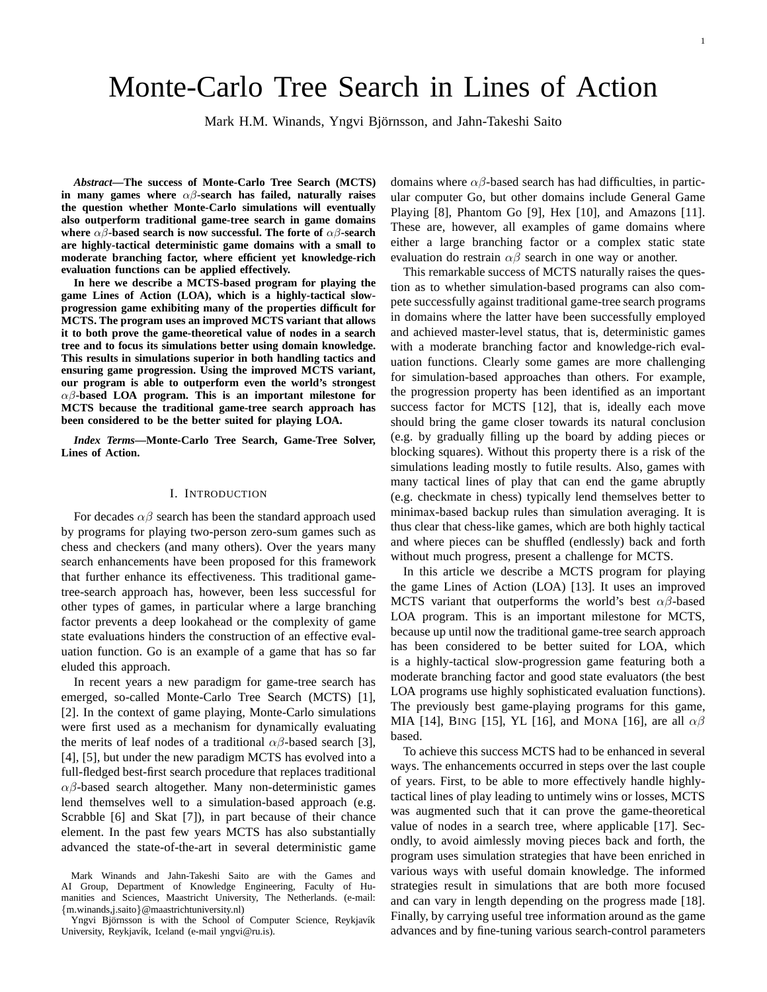# Monte-Carlo Tree Search in Lines of Action

Mark H.M. Winands, Yngvi Björnsson, and Jahn-Takeshi Saito

*Abstract***—The success of Monte-Carlo Tree Search (MCTS) in many games where** αβ**-search has failed, naturally raises the question whether Monte-Carlo simulations will eventually also outperform traditional game-tree search in game domains where** αβ**-based search is now successful. The forte of** αβ**-search are highly-tactical deterministic game domains with a small to moderate branching factor, where efficient yet knowledge-rich evaluation functions can be applied effectively.**

**In here we describe a MCTS-based program for playing the game Lines of Action (LOA), which is a highly-tactical slowprogression game exhibiting many of the properties difficult for MCTS. The program uses an improved MCTS variant that allows it to both prove the game-theoretical value of nodes in a search tree and to focus its simulations better using domain knowledge. This results in simulations superior in both handling tactics and ensuring game progression. Using the improved MCTS variant, our program is able to outperform even the world's strongest** αβ**-based LOA program. This is an important milestone for MCTS because the traditional game-tree search approach has been considered to be the better suited for playing LOA.**

*Index Terms***—Monte-Carlo Tree Search, Game-Tree Solver, Lines of Action.**

## I. INTRODUCTION

For decades  $\alpha\beta$  search has been the standard approach used by programs for playing two-person zero-sum games such as chess and checkers (and many others). Over the years many search enhancements have been proposed for this framework that further enhance its effectiveness. This traditional gametree-search approach has, however, been less successful for other types of games, in particular where a large branching factor prevents a deep lookahead or the complexity of game state evaluations hinders the construction of an effective evaluation function. Go is an example of a game that has so far eluded this approach.

In recent years a new paradigm for game-tree search has emerged, so-called Monte-Carlo Tree Search (MCTS) [1], [2]. In the context of game playing, Monte-Carlo simulations were first used as a mechanism for dynamically evaluating the merits of leaf nodes of a traditional  $\alpha\beta$ -based search [3], [4], [5], but under the new paradigm MCTS has evolved into a full-fledged best-first search procedure that replaces traditional  $\alpha\beta$ -based search altogether. Many non-deterministic games lend themselves well to a simulation-based approach (e.g. Scrabble [6] and Skat [7]), in part because of their chance element. In the past few years MCTS has also substantially advanced the state-of-the-art in several deterministic game domains where  $\alpha\beta$ -based search has had difficulties, in particular computer Go, but other domains include General Game Playing [8], Phantom Go [9], Hex [10], and Amazons [11]. These are, however, all examples of game domains where either a large branching factor or a complex static state evaluation do restrain  $\alpha\beta$  search in one way or another.

This remarkable success of MCTS naturally raises the question as to whether simulation-based programs can also compete successfully against traditional game-tree search programs in domains where the latter have been successfully employed and achieved master-level status, that is, deterministic games with a moderate branching factor and knowledge-rich evaluation functions. Clearly some games are more challenging for simulation-based approaches than others. For example, the progression property has been identified as an important success factor for MCTS [12], that is, ideally each move should bring the game closer towards its natural conclusion (e.g. by gradually filling up the board by adding pieces or blocking squares). Without this property there is a risk of the simulations leading mostly to futile results. Also, games with many tactical lines of play that can end the game abruptly (e.g. checkmate in chess) typically lend themselves better to minimax-based backup rules than simulation averaging. It is thus clear that chess-like games, which are both highly tactical and where pieces can be shuffled (endlessly) back and forth without much progress, present a challenge for MCTS.

In this article we describe a MCTS program for playing the game Lines of Action (LOA) [13]. It uses an improved MCTS variant that outperforms the world's best  $\alpha\beta$ -based LOA program. This is an important milestone for MCTS, because up until now the traditional game-tree search approach has been considered to be better suited for LOA, which is a highly-tactical slow-progression game featuring both a moderate branching factor and good state evaluators (the best LOA programs use highly sophisticated evaluation functions). The previously best game-playing programs for this game, MIA [14], BING [15], YL [16], and MONA [16], are all  $\alpha\beta$ based.

To achieve this success MCTS had to be enhanced in several ways. The enhancements occurred in steps over the last couple of years. First, to be able to more effectively handle highlytactical lines of play leading to untimely wins or losses, MCTS was augmented such that it can prove the game-theoretical value of nodes in a search tree, where applicable [17]. Secondly, to avoid aimlessly moving pieces back and forth, the program uses simulation strategies that have been enriched in various ways with useful domain knowledge. The informed strategies result in simulations that are both more focused and can vary in length depending on the progress made [18]. Finally, by carrying useful tree information around as the game advances and by fine-tuning various search-control parameters

Mark Winands and Jahn-Takeshi Saito are with the Games and AI Group, Department of Knowledge Engineering, Faculty of Humanities and Sciences, Maastricht University, The Netherlands. (e-mail: {m.winands,j.saito}@maastrichtuniversity.nl)

Yngvi Björnsson is with the School of Computer Science, Reykjavík University, Reykjavík, Iceland (e-mail yngvi@ru.is).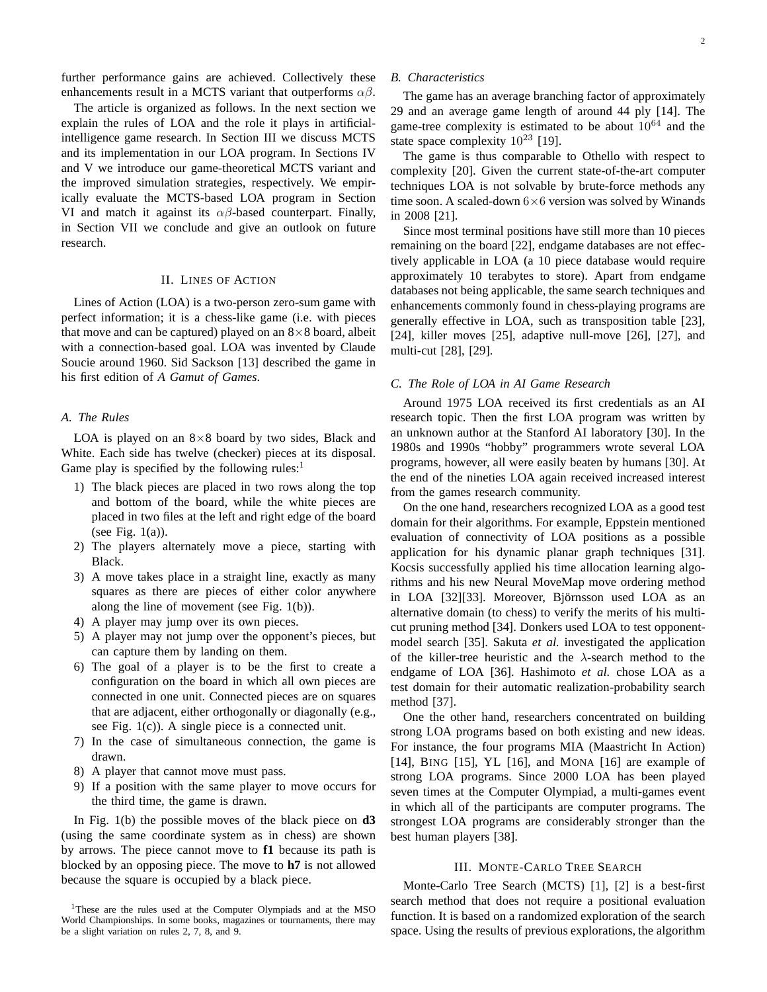further performance gains are achieved. Collectively these enhancements result in a MCTS variant that outperforms  $\alpha\beta$ .

The article is organized as follows. In the next section we explain the rules of LOA and the role it plays in artificialintelligence game research. In Section III we discuss MCTS and its implementation in our LOA program. In Sections IV and V we introduce our game-theoretical MCTS variant and the improved simulation strategies, respectively. We empirically evaluate the MCTS-based LOA program in Section VI and match it against its  $\alpha\beta$ -based counterpart. Finally, in Section VII we conclude and give an outlook on future research.

## II. LINES OF ACTION

Lines of Action (LOA) is a two-person zero-sum game with perfect information; it is a chess-like game (i.e. with pieces that move and can be captured) played on an  $8\times 8$  board, albeit with a connection-based goal. LOA was invented by Claude Soucie around 1960. Sid Sackson [13] described the game in his first edition of *A Gamut of Games*.

## *A. The Rules*

LOA is played on an  $8\times 8$  board by two sides, Black and White. Each side has twelve (checker) pieces at its disposal. Game play is specified by the following rules: $<sup>1</sup>$ </sup>

- 1) The black pieces are placed in two rows along the top and bottom of the board, while the white pieces are placed in two files at the left and right edge of the board (see Fig.  $1(a)$ ).
- 2) The players alternately move a piece, starting with Black.
- 3) A move takes place in a straight line, exactly as many squares as there are pieces of either color anywhere along the line of movement (see Fig. 1(b)).
- 4) A player may jump over its own pieces.
- 5) A player may not jump over the opponent's pieces, but can capture them by landing on them.
- 6) The goal of a player is to be the first to create a configuration on the board in which all own pieces are connected in one unit. Connected pieces are on squares that are adjacent, either orthogonally or diagonally (e.g., see Fig. 1(c)). A single piece is a connected unit.
- 7) In the case of simultaneous connection, the game is drawn.
- 8) A player that cannot move must pass.
- 9) If a position with the same player to move occurs for the third time, the game is drawn.

In Fig. 1(b) the possible moves of the black piece on **d3** (using the same coordinate system as in chess) are shown by arrows. The piece cannot move to **f1** because its path is blocked by an opposing piece. The move to **h7** is not allowed because the square is occupied by a black piece.

#### *B. Characteristics*

The game has an average branching factor of approximately 29 and an average game length of around 44 ply [14]. The game-tree complexity is estimated to be about  $10^{64}$  and the state space complexity  $10^{23}$  [19].

The game is thus comparable to Othello with respect to complexity [20]. Given the current state-of-the-art computer techniques LOA is not solvable by brute-force methods any time soon. A scaled-down  $6\times 6$  version was solved by Winands in 2008 [21].

Since most terminal positions have still more than 10 pieces remaining on the board [22], endgame databases are not effectively applicable in LOA (a 10 piece database would require approximately 10 terabytes to store). Apart from endgame databases not being applicable, the same search techniques and enhancements commonly found in chess-playing programs are generally effective in LOA, such as transposition table [23], [24], killer moves [25], adaptive null-move [26], [27], and multi-cut [28], [29].

# *C. The Role of LOA in AI Game Research*

Around 1975 LOA received its first credentials as an AI research topic. Then the first LOA program was written by an unknown author at the Stanford AI laboratory [30]. In the 1980s and 1990s "hobby" programmers wrote several LOA programs, however, all were easily beaten by humans [30]. At the end of the nineties LOA again received increased interest from the games research community.

On the one hand, researchers recognized LOA as a good test domain for their algorithms. For example, Eppstein mentioned evaluation of connectivity of LOA positions as a possible application for his dynamic planar graph techniques [31]. Kocsis successfully applied his time allocation learning algorithms and his new Neural MoveMap move ordering method in LOA [32][33]. Moreover, Björnsson used LOA as an alternative domain (to chess) to verify the merits of his multicut pruning method [34]. Donkers used LOA to test opponentmodel search [35]. Sakuta *et al.* investigated the application of the killer-tree heuristic and the  $\lambda$ -search method to the endgame of LOA [36]. Hashimoto *et al.* chose LOA as a test domain for their automatic realization-probability search method [37].

One the other hand, researchers concentrated on building strong LOA programs based on both existing and new ideas. For instance, the four programs MIA (Maastricht In Action) [14], BING [15], YL [16], and MONA [16] are example of strong LOA programs. Since 2000 LOA has been played seven times at the Computer Olympiad, a multi-games event in which all of the participants are computer programs. The strongest LOA programs are considerably stronger than the best human players [38].

# III. MONTE-CARLO TREE SEARCH

Monte-Carlo Tree Search (MCTS) [1], [2] is a best-first search method that does not require a positional evaluation function. It is based on a randomized exploration of the search space. Using the results of previous explorations, the algorithm

<sup>&</sup>lt;sup>1</sup>These are the rules used at the Computer Olympiads and at the MSO World Championships. In some books, magazines or tournaments, there may be a slight variation on rules 2, 7, 8, and 9.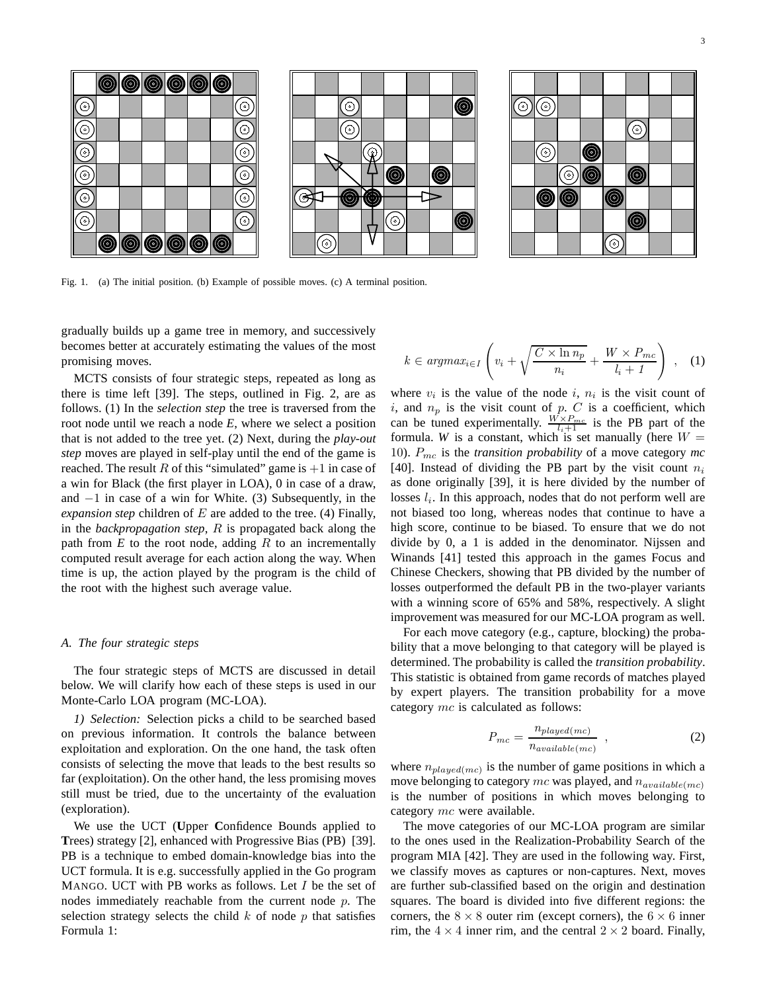

 $\odot$  $\odot$  $\odot$ 0  $\odot$ 0  $\odot)$ (©) 0 0  $\circledcirc$ 0  $\odot$ 

Fig. 1. (a) The initial position. (b) Example of possible moves. (c) A terminal position.

gradually builds up a game tree in memory, and successively becomes better at accurately estimating the values of the most promising moves.

MCTS consists of four strategic steps, repeated as long as there is time left [39]. The steps, outlined in Fig. 2, are as follows. (1) In the *selection step* the tree is traversed from the root node until we reach a node *E*, where we select a position that is not added to the tree yet. (2) Next, during the *play-out step* moves are played in self-play until the end of the game is reached. The result R of this "simulated" game is  $+1$  in case of a win for Black (the first player in LOA), 0 in case of a draw, and −1 in case of a win for White. (3) Subsequently, in the *expansion step* children of  $E$  are added to the tree. (4) Finally, in the *backpropagation step*, R is propagated back along the path from  $E$  to the root node, adding  $R$  to an incrementally computed result average for each action along the way. When time is up, the action played by the program is the child of the root with the highest such average value.

#### *A. The four strategic steps*

The four strategic steps of MCTS are discussed in detail below. We will clarify how each of these steps is used in our Monte-Carlo LOA program (MC-LOA).

*1) Selection:* Selection picks a child to be searched based on previous information. It controls the balance between exploitation and exploration. On the one hand, the task often consists of selecting the move that leads to the best results so far (exploitation). On the other hand, the less promising moves still must be tried, due to the uncertainty of the evaluation (exploration).

We use the UCT (**U**pper **C**onfidence Bounds applied to **T**rees) strategy [2], enhanced with Progressive Bias (PB) [39]. PB is a technique to embed domain-knowledge bias into the UCT formula. It is e.g. successfully applied in the Go program MANGO. UCT with PB works as follows. Let  $I$  be the set of nodes immediately reachable from the current node  $p$ . The selection strategy selects the child  $k$  of node  $p$  that satisfies Formula 1:

$$
k \in argmax_{i \in I} \left( v_i + \sqrt{\frac{C \times \ln n_p}{n_i}} + \frac{W \times P_{mc}}{l_i + 1} \right) , \quad (1)
$$

where  $v_i$  is the value of the node i,  $n_i$  is the visit count of i, and  $n_p$  is the visit count of p. C is a coefficient, which can be tuned experimentally.  $\frac{W \times P_{mc}}{l_i+1}$  is the PB part of the formula. *W* is a constant, which is set manually (here  $W =$ 10). Pmc is the *transition probability* of a move category *mc* [40]. Instead of dividing the PB part by the visit count  $n_i$ as done originally [39], it is here divided by the number of losses  $l_i$ . In this approach, nodes that do not perform well are not biased too long, whereas nodes that continue to have a high score, continue to be biased. To ensure that we do not divide by 0, a 1 is added in the denominator. Nijssen and Winands [41] tested this approach in the games Focus and Chinese Checkers, showing that PB divided by the number of losses outperformed the default PB in the two-player variants with a winning score of 65% and 58%, respectively. A slight improvement was measured for our MC-LOA program as well.

For each move category (e.g., capture, blocking) the probability that a move belonging to that category will be played is determined. The probability is called the *transition probability*. This statistic is obtained from game records of matches played by expert players. The transition probability for a move category mc is calculated as follows:

$$
P_{mc} = \frac{n_{played(mc)}}{n_{available(mc)}}
$$
, (2)

where  $n_{played(mc)}$  is the number of game positions in which a move belonging to category  $mc$  was played, and  $n_{available(mc)}$ is the number of positions in which moves belonging to category mc were available.

The move categories of our MC-LOA program are similar to the ones used in the Realization-Probability Search of the program MIA [42]. They are used in the following way. First, we classify moves as captures or non-captures. Next, moves are further sub-classified based on the origin and destination squares. The board is divided into five different regions: the corners, the  $8 \times 8$  outer rim (except corners), the  $6 \times 6$  inner rim, the  $4 \times 4$  inner rim, and the central  $2 \times 2$  board. Finally,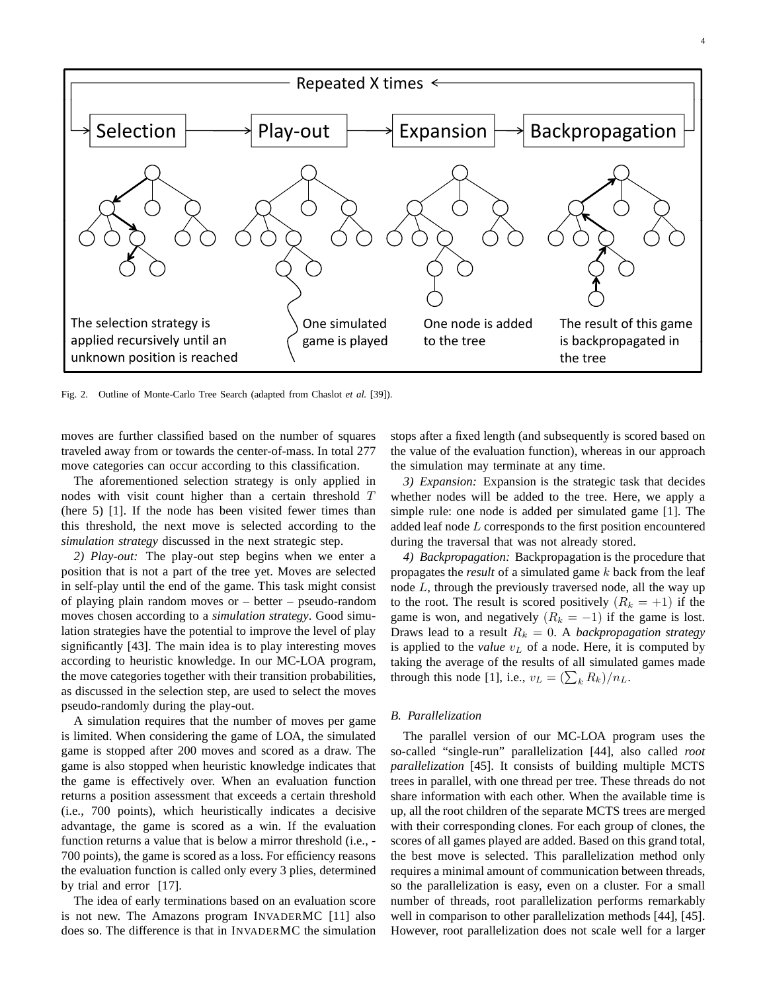

Fig. 2. Outline of Monte-Carlo Tree Search (adapted from Chaslot *et al.* [39]).

moves are further classified based on the number of squares traveled away from or towards the center-of-mass. In total 277 move categories can occur according to this classification.

The aforementioned selection strategy is only applied in nodes with visit count higher than a certain threshold T (here 5) [1]. If the node has been visited fewer times than this threshold, the next move is selected according to the *simulation strategy* discussed in the next strategic step.

*2) Play-out:* The play-out step begins when we enter a position that is not a part of the tree yet. Moves are selected in self-play until the end of the game. This task might consist of playing plain random moves or – better – pseudo-random moves chosen according to a *simulation strategy*. Good simulation strategies have the potential to improve the level of play significantly [43]. The main idea is to play interesting moves according to heuristic knowledge. In our MC-LOA program, the move categories together with their transition probabilities, as discussed in the selection step, are used to select the moves pseudo-randomly during the play-out.

A simulation requires that the number of moves per game is limited. When considering the game of LOA, the simulated game is stopped after 200 moves and scored as a draw. The game is also stopped when heuristic knowledge indicates that the game is effectively over. When an evaluation function returns a position assessment that exceeds a certain threshold (i.e., 700 points), which heuristically indicates a decisive advantage, the game is scored as a win. If the evaluation function returns a value that is below a mirror threshold (i.e., - 700 points), the game is scored as a loss. For efficiency reasons the evaluation function is called only every 3 plies, determined by trial and error [17].

The idea of early terminations based on an evaluation score is not new. The Amazons program INVADERMC [11] also does so. The difference is that in INVADERMC the simulation stops after a fixed length (and subsequently is scored based on the value of the evaluation function), whereas in our approach the simulation may terminate at any time.

*3) Expansion:* Expansion is the strategic task that decides whether nodes will be added to the tree. Here, we apply a simple rule: one node is added per simulated game [1]. The added leaf node L corresponds to the first position encountered during the traversal that was not already stored.

*4) Backpropagation:* Backpropagation is the procedure that propagates the *result* of a simulated game k back from the leaf node L, through the previously traversed node, all the way up to the root. The result is scored positively  $(R_k = +1)$  if the game is won, and negatively  $(R_k = -1)$  if the game is lost. Draws lead to a result  $R_k = 0$ . A *backpropagation strategy* is applied to the *value*  $v_L$  of a node. Here, it is computed by taking the average of the results of all simulated games made through this node [1], i.e.,  $v_L = (\sum_k R_k)/n_L$ .

# *B. Parallelization*

The parallel version of our MC-LOA program uses the so-called "single-run" parallelization [44], also called *root parallelization* [45]. It consists of building multiple MCTS trees in parallel, with one thread per tree. These threads do not share information with each other. When the available time is up, all the root children of the separate MCTS trees are merged with their corresponding clones. For each group of clones, the scores of all games played are added. Based on this grand total, the best move is selected. This parallelization method only requires a minimal amount of communication between threads, so the parallelization is easy, even on a cluster. For a small number of threads, root parallelization performs remarkably well in comparison to other parallelization methods [44], [45]. However, root parallelization does not scale well for a larger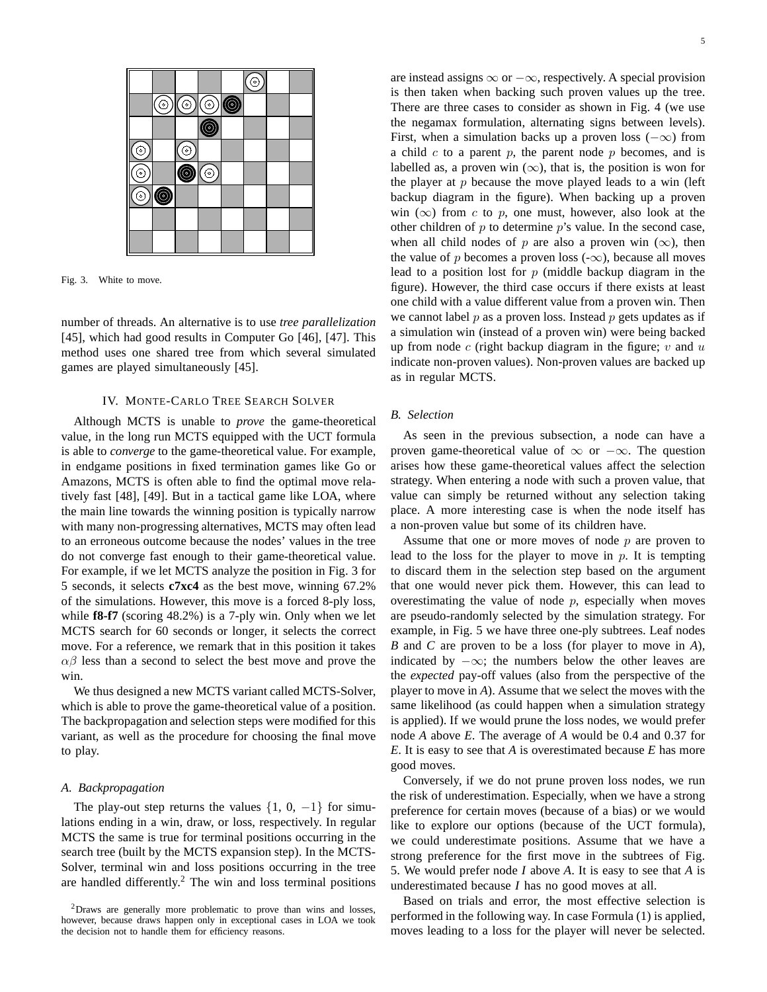

Fig. 3. White to move.

number of threads. An alternative is to use *tree parallelization* [45], which had good results in Computer Go [46], [47]. This method uses one shared tree from which several simulated games are played simultaneously [45].

# IV. MONTE-CARLO TREE SEARCH SOLVER

Although MCTS is unable to *prove* the game-theoretical value, in the long run MCTS equipped with the UCT formula is able to *converge* to the game-theoretical value. For example, in endgame positions in fixed termination games like Go or Amazons, MCTS is often able to find the optimal move relatively fast [48], [49]. But in a tactical game like LOA, where the main line towards the winning position is typically narrow with many non-progressing alternatives, MCTS may often lead to an erroneous outcome because the nodes' values in the tree do not converge fast enough to their game-theoretical value. For example, if we let MCTS analyze the position in Fig. 3 for 5 seconds, it selects **c7xc4** as the best move, winning 67.2% of the simulations. However, this move is a forced 8-ply loss, while **f8-f7** (scoring 48.2%) is a 7-ply win. Only when we let MCTS search for 60 seconds or longer, it selects the correct move. For a reference, we remark that in this position it takes  $\alpha\beta$  less than a second to select the best move and prove the win.

We thus designed a new MCTS variant called MCTS-Solver, which is able to prove the game-theoretical value of a position. The backpropagation and selection steps were modified for this variant, as well as the procedure for choosing the final move to play.

## *A. Backpropagation*

The play-out step returns the values  $\{1, 0, -1\}$  for simulations ending in a win, draw, or loss, respectively. In regular MCTS the same is true for terminal positions occurring in the search tree (built by the MCTS expansion step). In the MCTS-Solver, terminal win and loss positions occurring in the tree are handled differently.<sup>2</sup> The win and loss terminal positions are instead assigns  $\infty$  or  $-\infty$ , respectively. A special provision is then taken when backing such proven values up the tree. There are three cases to consider as shown in Fig. 4 (we use the negamax formulation, alternating signs between levels). First, when a simulation backs up a proven loss  $(-\infty)$  from a child  $c$  to a parent  $p$ , the parent node  $p$  becomes, and is labelled as, a proven win  $(\infty)$ , that is, the position is won for the player at  $p$  because the move played leads to a win (left backup diagram in the figure). When backing up a proven win ( $\infty$ ) from c to p, one must, however, also look at the other children of  $p$  to determine  $p$ 's value. In the second case, when all child nodes of p are also a proven win  $(\infty)$ , then the value of p becomes a proven loss  $(-\infty)$ , because all moves lead to a position lost for  $p$  (middle backup diagram in the figure). However, the third case occurs if there exists at least one child with a value different value from a proven win. Then we cannot label  $p$  as a proven loss. Instead  $p$  gets updates as if a simulation win (instead of a proven win) were being backed up from node  $c$  (right backup diagram in the figure;  $v$  and  $u$ indicate non-proven values). Non-proven values are backed up as in regular MCTS.

# *B. Selection*

As seen in the previous subsection, a node can have a proven game-theoretical value of  $\infty$  or  $-\infty$ . The question arises how these game-theoretical values affect the selection strategy. When entering a node with such a proven value, that value can simply be returned without any selection taking place. A more interesting case is when the node itself has a non-proven value but some of its children have.

Assume that one or more moves of node  $p$  are proven to lead to the loss for the player to move in  $p$ . It is tempting to discard them in the selection step based on the argument that one would never pick them. However, this can lead to overestimating the value of node  $p$ , especially when moves are pseudo-randomly selected by the simulation strategy. For example, in Fig. 5 we have three one-ply subtrees. Leaf nodes *B* and *C* are proven to be a loss (for player to move in *A*), indicated by  $-\infty$ ; the numbers below the other leaves are the *expected* pay-off values (also from the perspective of the player to move in *A*). Assume that we select the moves with the same likelihood (as could happen when a simulation strategy is applied). If we would prune the loss nodes, we would prefer node *A* above *E*. The average of *A* would be 0.4 and 0.37 for *E*. It is easy to see that *A* is overestimated because *E* has more good moves.

Conversely, if we do not prune proven loss nodes, we run the risk of underestimation. Especially, when we have a strong preference for certain moves (because of a bias) or we would like to explore our options (because of the UCT formula), we could underestimate positions. Assume that we have a strong preference for the first move in the subtrees of Fig. 5. We would prefer node *I* above *A*. It is easy to see that *A* is underestimated because *I* has no good moves at all.

Based on trials and error, the most effective selection is performed in the following way. In case Formula (1) is applied, moves leading to a loss for the player will never be selected.

<sup>&</sup>lt;sup>2</sup>Draws are generally more problematic to prove than wins and losses, however, because draws happen only in exceptional cases in LOA we took the decision not to handle them for efficiency reasons.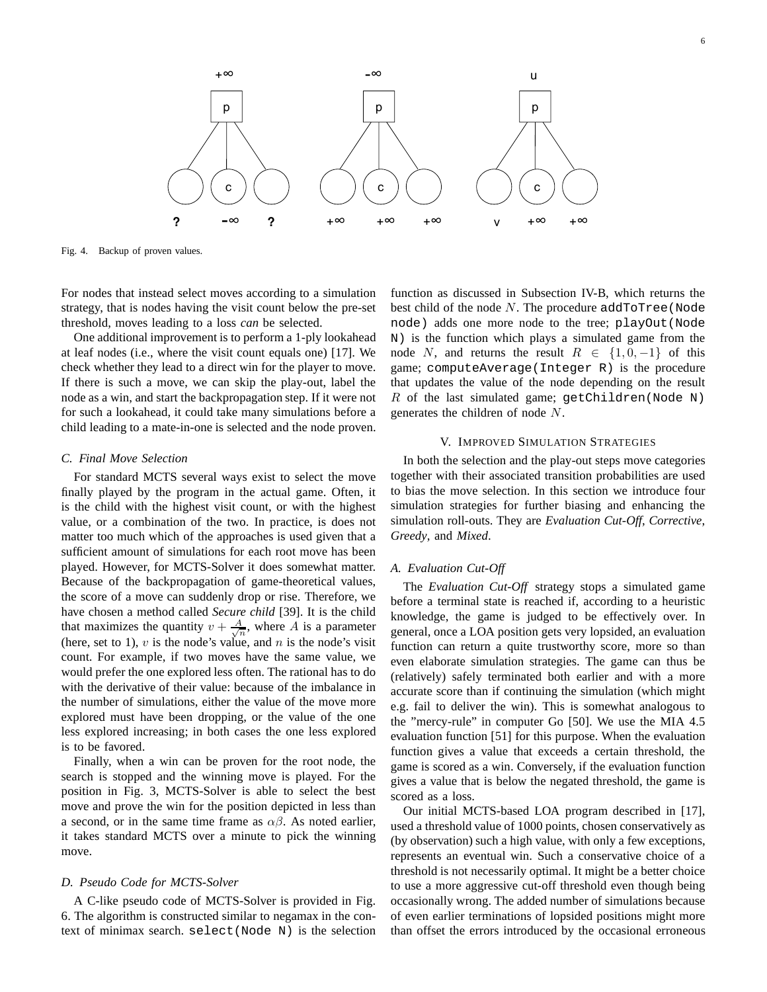

Fig. 4. Backup of proven values.

For nodes that instead select moves according to a simulation strategy, that is nodes having the visit count below the pre-set threshold, moves leading to a loss *can* be selected.

One additional improvement is to perform a 1-ply lookahead at leaf nodes (i.e., where the visit count equals one) [17]. We check whether they lead to a direct win for the player to move. If there is such a move, we can skip the play-out, label the node as a win, and start the backpropagation step. If it were not for such a lookahead, it could take many simulations before a child leading to a mate-in-one is selected and the node proven.

#### *C. Final Move Selection*

For standard MCTS several ways exist to select the move finally played by the program in the actual game. Often, it is the child with the highest visit count, or with the highest value, or a combination of the two. In practice, is does not matter too much which of the approaches is used given that a sufficient amount of simulations for each root move has been played. However, for MCTS-Solver it does somewhat matter. Because of the backpropagation of game-theoretical values, the score of a move can suddenly drop or rise. Therefore, we have chosen a method called *Secure child* [39]. It is the child that maximizes the quantity  $v + \frac{A}{\sqrt{n}}$ , where A is a parameter (here, set to 1),  $v$  is the node's value, and  $n$  is the node's visit count. For example, if two moves have the same value, we would prefer the one explored less often. The rational has to do with the derivative of their value: because of the imbalance in the number of simulations, either the value of the move more explored must have been dropping, or the value of the one less explored increasing; in both cases the one less explored is to be favored.

Finally, when a win can be proven for the root node, the search is stopped and the winning move is played. For the position in Fig. 3, MCTS-Solver is able to select the best move and prove the win for the position depicted in less than a second, or in the same time frame as  $\alpha\beta$ . As noted earlier, it takes standard MCTS over a minute to pick the winning move.

# *D. Pseudo Code for MCTS-Solver*

A C-like pseudo code of MCTS-Solver is provided in Fig. 6. The algorithm is constructed similar to negamax in the context of minimax search. select(Node N) is the selection

function as discussed in Subsection IV-B, which returns the best child of the node  $N$ . The procedure addToTree (Node node) adds one more node to the tree; playOut(Node N) is the function which plays a simulated game from the node N, and returns the result  $R \in \{1, 0, -1\}$  of this game; computeAverage(Integer R) is the procedure that updates the value of the node depending on the result  $R$  of the last simulated game; getChildren(Node N) generates the children of node N.

# V. IMPROVED SIMULATION STRATEGIES

In both the selection and the play-out steps move categories together with their associated transition probabilities are used to bias the move selection. In this section we introduce four simulation strategies for further biasing and enhancing the simulation roll-outs. They are *Evaluation Cut-Off*, *Corrective*, *Greedy*, and *Mixed*.

#### *A. Evaluation Cut-Off*

The *Evaluation Cut-Off* strategy stops a simulated game before a terminal state is reached if, according to a heuristic knowledge, the game is judged to be effectively over. In general, once a LOA position gets very lopsided, an evaluation function can return a quite trustworthy score, more so than even elaborate simulation strategies. The game can thus be (relatively) safely terminated both earlier and with a more accurate score than if continuing the simulation (which might e.g. fail to deliver the win). This is somewhat analogous to the "mercy-rule" in computer Go [50]. We use the MIA 4.5 evaluation function [51] for this purpose. When the evaluation function gives a value that exceeds a certain threshold, the game is scored as a win. Conversely, if the evaluation function gives a value that is below the negated threshold, the game is scored as a loss.

Our initial MCTS-based LOA program described in [17], used a threshold value of 1000 points, chosen conservatively as (by observation) such a high value, with only a few exceptions, represents an eventual win. Such a conservative choice of a threshold is not necessarily optimal. It might be a better choice to use a more aggressive cut-off threshold even though being occasionally wrong. The added number of simulations because of even earlier terminations of lopsided positions might more than offset the errors introduced by the occasional erroneous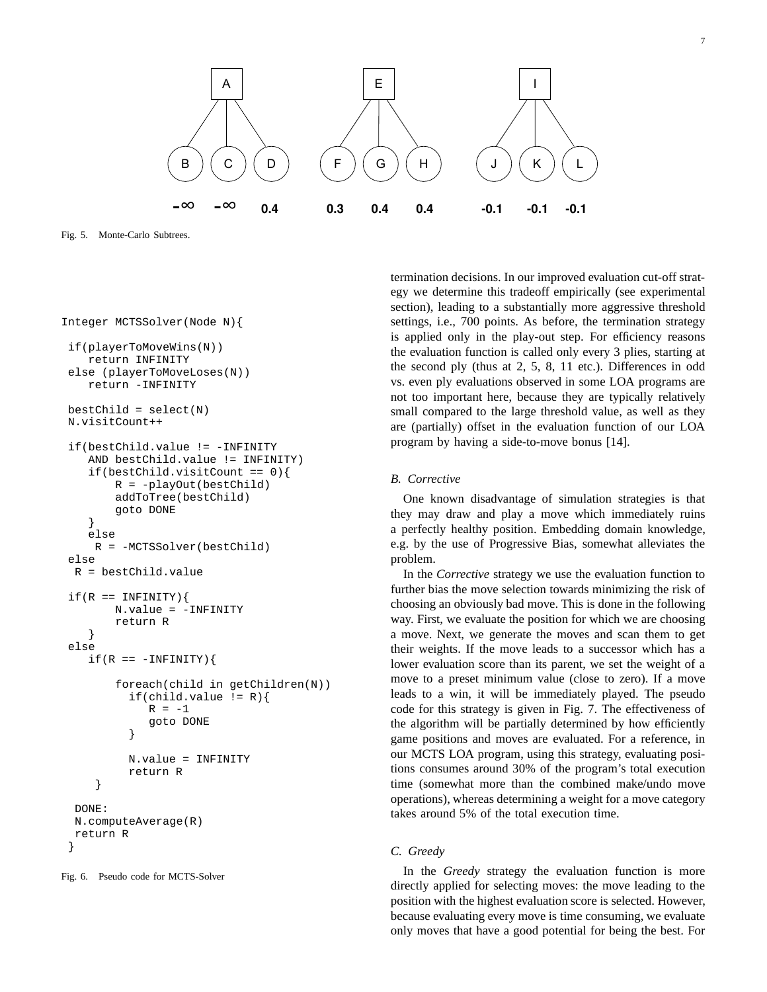

Fig. 5. Monte-Carlo Subtrees.

```
if(playerToMoveWins(N))
  return INFINITY
else (playerToMoveLoses(N))
```
Integer MCTSSolver(Node N){

```
return -INFINITY
bestChild = select(N)
```

```
N.visitCount++
```

```
if(bestChild.value != -INFINITY
  AND bestChild.value != INFINITY)
   if(bestChild.visitCount == 0){
       R = -playOut(bestChild)
       addToTree(bestChild)
       goto DONE
   }
   else
   R = -MCTSSolver(bestChild)
else
R = bestChild.value
if(R == INFINITE)N.value = -INFINITY
       return R
   }
else
   if(R == -INFINITE)foreach(child in getChildren(N))
         if(child.value != R){
            R = -1goto DONE
         }
         N.value = INFINITY
         return R
    }
```

```
DONE:
N.computeAverage(R)
return R
}
```
#### Fig. 6. Pseudo code for MCTS-Solver

termination decisions. In our improved evaluation cut-off strategy we determine this tradeoff empirically (see experimental section), leading to a substantially more aggressive threshold settings, i.e., 700 points. As before, the termination strategy is applied only in the play-out step. For efficiency reasons the evaluation function is called only every 3 plies, starting at the second ply (thus at 2, 5, 8, 11 etc.). Differences in odd vs. even ply evaluations observed in some LOA programs are not too important here, because they are typically relatively small compared to the large threshold value, as well as they are (partially) offset in the evaluation function of our LOA program by having a side-to-move bonus [14].

# *B. Corrective*

One known disadvantage of simulation strategies is that they may draw and play a move which immediately ruins a perfectly healthy position. Embedding domain knowledge, e.g. by the use of Progressive Bias, somewhat alleviates the problem.

In the *Corrective* strategy we use the evaluation function to further bias the move selection towards minimizing the risk of choosing an obviously bad move. This is done in the following way. First, we evaluate the position for which we are choosing a move. Next, we generate the moves and scan them to get their weights. If the move leads to a successor which has a lower evaluation score than its parent, we set the weight of a move to a preset minimum value (close to zero). If a move leads to a win, it will be immediately played. The pseudo code for this strategy is given in Fig. 7. The effectiveness of the algorithm will be partially determined by how efficiently game positions and moves are evaluated. For a reference, in our MCTS LOA program, using this strategy, evaluating positions consumes around 30% of the program's total execution time (somewhat more than the combined make/undo move operations), whereas determining a weight for a move category takes around 5% of the total execution time.

## *C. Greedy*

In the *Greedy* strategy the evaluation function is more directly applied for selecting moves: the move leading to the position with the highest evaluation score is selected. However, because evaluating every move is time consuming, we evaluate only moves that have a good potential for being the best. For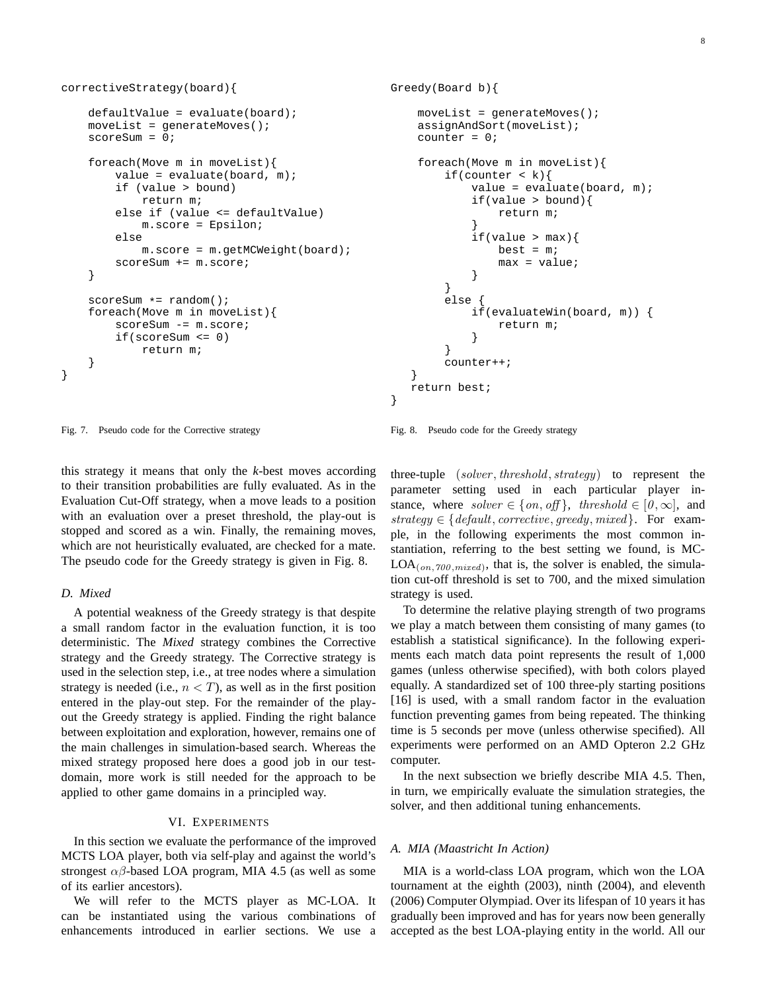```
correctiveStrategy(board){
    defaultValue = evaluate(board);
    moveList = generateMoves();
    scoreSum = 0;
    foreach(Move m in moveList){
        value = evaluate(board, m);if (value > bound)
            return m;
        else if (value <= defaultValue)
            m.score = Epsilon;
        else
            m.score = m.getMCWeight(board);
        scoreSum += m.score;
    }
    scoreSum \neq random();
    foreach(Move m in moveList){
        scoreSum -= m.score;
        if(scoreSum <= 0)
            return m;
    }
}
```

```
moveList = generateMoves();
 assignAndSort(moveList);
 counter = 0;
 foreach(Move m in moveList){
     if(counter < k){
         value = evaluate(board, m);if(value > bound){
             return m;
         }
         if(value > max){
              best = m;
              max = value;
         }
     }
     else {
         if(evaluateWin(board, m)) {
              return m;
         }
     }
     counter++;
}
return best;
```
Fig. 7. Pseudo code for the Corrective strategy

this strategy it means that only the *k*-best moves according to their transition probabilities are fully evaluated. As in the Evaluation Cut-Off strategy, when a move leads to a position with an evaluation over a preset threshold, the play-out is stopped and scored as a win. Finally, the remaining moves, which are not heuristically evaluated, are checked for a mate. The pseudo code for the Greedy strategy is given in Fig. 8.

# *D. Mixed*

A potential weakness of the Greedy strategy is that despite a small random factor in the evaluation function, it is too deterministic. The *Mixed* strategy combines the Corrective strategy and the Greedy strategy. The Corrective strategy is used in the selection step, i.e., at tree nodes where a simulation strategy is needed (i.e.,  $n < T$ ), as well as in the first position entered in the play-out step. For the remainder of the playout the Greedy strategy is applied. Finding the right balance between exploitation and exploration, however, remains one of the main challenges in simulation-based search. Whereas the mixed strategy proposed here does a good job in our testdomain, more work is still needed for the approach to be applied to other game domains in a principled way.

## VI. EXPERIMENTS

In this section we evaluate the performance of the improved MCTS LOA player, both via self-play and against the world's strongest  $\alpha\beta$ -based LOA program, MIA 4.5 (as well as some of its earlier ancestors).

We will refer to the MCTS player as MC-LOA. It can be instantiated using the various combinations of enhancements introduced in earlier sections. We use a

Fig. 8. Pseudo code for the Greedy strategy

}

Greedy(Board b){

three-tuple (solver, threshold, strategy) to represent the parameter setting used in each particular player instance, where  $solver \in \{on, off\}$ , threshold  $\in [0, \infty]$ , and strategy  $\in \{default, corrective, greedy, mixed\}$ . For example, in the following experiments the most common instantiation, referring to the best setting we found, is MC- $\text{LOA}_{(on,700,mixed)}$ , that is, the solver is enabled, the simulation cut-off threshold is set to 700, and the mixed simulation strategy is used.

To determine the relative playing strength of two programs we play a match between them consisting of many games (to establish a statistical significance). In the following experiments each match data point represents the result of 1,000 games (unless otherwise specified), with both colors played equally. A standardized set of 100 three-ply starting positions [16] is used, with a small random factor in the evaluation function preventing games from being repeated. The thinking time is 5 seconds per move (unless otherwise specified). All experiments were performed on an AMD Opteron 2.2 GHz computer.

In the next subsection we briefly describe MIA 4.5. Then, in turn, we empirically evaluate the simulation strategies, the solver, and then additional tuning enhancements.

#### *A. MIA (Maastricht In Action)*

MIA is a world-class LOA program, which won the LOA tournament at the eighth (2003), ninth (2004), and eleventh (2006) Computer Olympiad. Over its lifespan of 10 years it has gradually been improved and has for years now been generally accepted as the best LOA-playing entity in the world. All our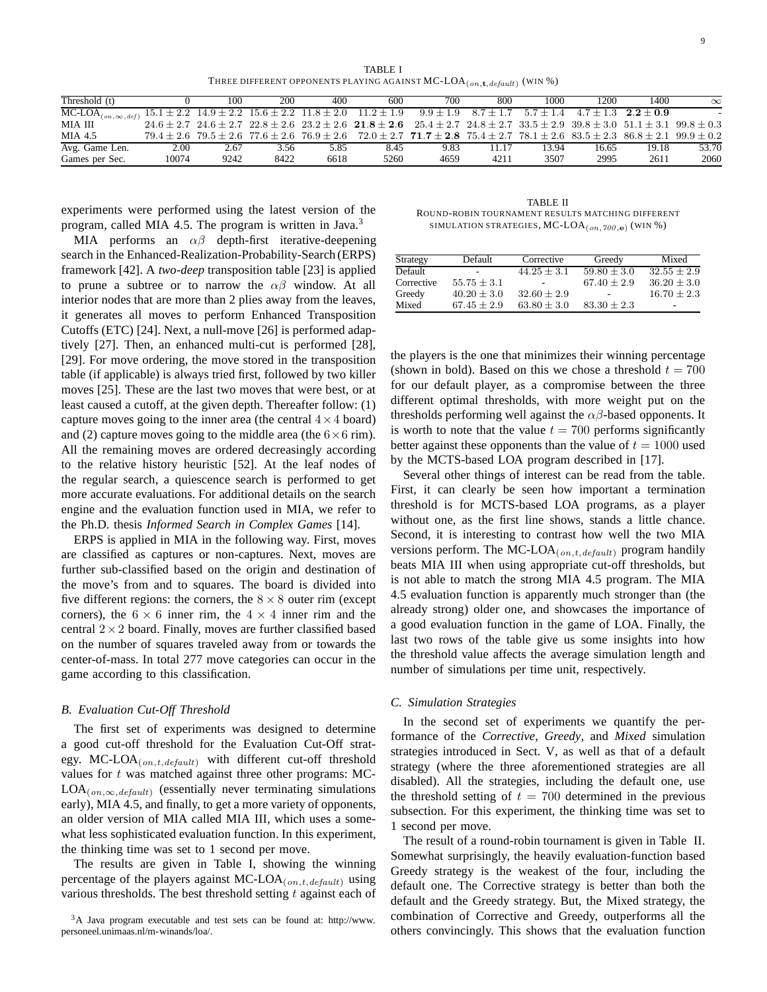TABLE I THREE DIFFERENT OPPONENTS PLAYING AGAINST  $\mathrm{MC}\text{-}\mathrm{LOA}_{( \emph{on},\textbf{t},\textit{default}) }$  (WIN %)

| Threshold (t)                                             |       | 100  | 200  | 400  | 600                                                                                                                                                                  | 700                                                                   | 800   | 1000  | 1200  | 1400  | $\infty$ |
|-----------------------------------------------------------|-------|------|------|------|----------------------------------------------------------------------------------------------------------------------------------------------------------------------|-----------------------------------------------------------------------|-------|-------|-------|-------|----------|
| $\overline{\text{MC-LOA}}_{(on,\infty,def)}$ <sup>1</sup> |       |      |      |      | $15.1 \pm 2.2$ $14.9 \pm 2.2$ $15.6 \pm 2.2$ $11.8 \pm 2.0$ $11.2 \pm 1.9$                                                                                           | $9.9 \pm 1.9$ $8.7 \pm 1.7$ $5.7 \pm 1.4$ $4.7 \pm 1.3$ $2.2 \pm 0.9$ |       |       |       |       |          |
| MIA III                                                   |       |      |      |      | $24.6 \pm 2.7$ $24.6 \pm 2.7$ $22.8 \pm 2.6$ $23.2 \pm 2.6$ $21.8 \pm 2.6$ $25.4 \pm 2.7$ $24.8 \pm 2.7$ $33.5 \pm 2.9$ $39.8 \pm 3.0$ $51.1 \pm 3.1$ $99.8 \pm 0.3$ |                                                                       |       |       |       |       |          |
| MIA 4.5                                                   |       |      |      |      | $79.4 \pm 2.6$ $79.5 \pm 2.6$ $77.6 \pm 2.6$ $76.9 \pm 2.6$ $72.0 \pm 2.7$ $71.7 \pm 2.8$ $75.4 \pm 2.7$ $78.1 \pm 2.6$ $83.5 \pm 2.3$ $86.8 \pm 2.1$ $99.9 \pm 0.2$ |                                                                       |       |       |       |       |          |
| Avg. Game Len.                                            | 2.00  | 2.67 | 3.56 | 5.85 | 8.45                                                                                                                                                                 | 9.83                                                                  | 11.17 | 13.94 | 16.65 | 19.18 | 53.70    |
| Games per Sec.                                            | 10074 | 9242 | 8422 | 6618 | 5260                                                                                                                                                                 | 4659                                                                  | 4211  | 3507  | 2995  | 2611  | 2060     |

experiments were performed using the latest version of the program, called MIA 4.5. The program is written in Java.<sup>3</sup>

MIA performs an  $\alpha\beta$  depth-first iterative-deepening search in the Enhanced-Realization-Probability-Search (ERPS) framework [42]. A *two-deep* transposition table [23] is applied to prune a subtree or to narrow the  $\alpha\beta$  window. At all interior nodes that are more than 2 plies away from the leaves, it generates all moves to perform Enhanced Transposition Cutoffs (ETC) [24]. Next, a null-move [26] is performed adaptively [27]. Then, an enhanced multi-cut is performed [28], [29]. For move ordering, the move stored in the transposition table (if applicable) is always tried first, followed by two killer moves [25]. These are the last two moves that were best, or at least caused a cutoff, at the given depth. Thereafter follow: (1) capture moves going to the inner area (the central  $4 \times 4$  board) and (2) capture moves going to the middle area (the  $6 \times 6$  rim). All the remaining moves are ordered decreasingly according to the relative history heuristic [52]. At the leaf nodes of the regular search, a quiescence search is performed to get more accurate evaluations. For additional details on the search engine and the evaluation function used in MIA, we refer to the Ph.D. thesis *Informed Search in Complex Games* [14].

ERPS is applied in MIA in the following way. First, moves are classified as captures or non-captures. Next, moves are further sub-classified based on the origin and destination of the move's from and to squares. The board is divided into five different regions: the corners, the  $8 \times 8$  outer rim (except corners), the  $6 \times 6$  inner rim, the  $4 \times 4$  inner rim and the central  $2 \times 2$  board. Finally, moves are further classified based on the number of squares traveled away from or towards the center-of-mass. In total 277 move categories can occur in the game according to this classification.

## *B. Evaluation Cut-Off Threshold*

The first set of experiments was designed to determine a good cut-off threshold for the Evaluation Cut-Off strategy. MC-LOA $_{(on.t. default)}$  with different cut-off threshold values for  $t$  was matched against three other programs: MC- $\text{LOA}_{(on,\infty,default)}$  (essentially never terminating simulations early), MIA 4.5, and finally, to get a more variety of opponents, an older version of MIA called MIA III, which uses a somewhat less sophisticated evaluation function. In this experiment, the thinking time was set to 1 second per move.

The results are given in Table I, showing the winning percentage of the players against MC-LOA $_{(on,t,default)}$  using various thresholds. The best threshold setting  $t$  against each of

TABLE II ROUND-ROBIN TOURNAMENT RESULTS MATCHING DIFFERENT SIMULATION STRATEGIES,  $\mathrm{MC\text{-}LOA}_{( \textit{on}, \textit{700}, \mathbf{e})}$  (win %)

| Strategy   | Default       | Corrective      | Greedy          | Mixed                    |
|------------|---------------|-----------------|-----------------|--------------------------|
| Default    | ۰             | $44.25 + 3.1$   | $59.80 + 3.0$   | $32.55 + 2.9$            |
| Corrective | $55.75 + 3.1$ |                 | $67.40 + 2.9$   | $36.20 + 3.0$            |
| Greedy     | $40.20 + 3.0$ | $32.60 \pm 2.9$ |                 | $16.70 + 2.3$            |
| Mixed      | $67.45 + 2.9$ | $63.80 + 3.0$   | $83.30 \pm 2.3$ | $\overline{\phantom{a}}$ |

the players is the one that minimizes their winning percentage (shown in bold). Based on this we chose a threshold  $t = 700$ for our default player, as a compromise between the three different optimal thresholds, with more weight put on the thresholds performing well against the  $\alpha\beta$ -based opponents. It is worth to note that the value  $t = 700$  performs significantly better against these opponents than the value of  $t = 1000$  used by the MCTS-based LOA program described in [17].

Several other things of interest can be read from the table. First, it can clearly be seen how important a termination threshold is for MCTS-based LOA programs, as a player without one, as the first line shows, stands a little chance. Second, it is interesting to contrast how well the two MIA versions perform. The MC-LOA $_{(on,t,default)}$  program handily beats MIA III when using appropriate cut-off thresholds, but is not able to match the strong MIA 4.5 program. The MIA 4.5 evaluation function is apparently much stronger than (the already strong) older one, and showcases the importance of a good evaluation function in the game of LOA. Finally, the last two rows of the table give us some insights into how the threshold value affects the average simulation length and number of simulations per time unit, respectively.

#### *C. Simulation Strategies*

In the second set of experiments we quantify the performance of the *Corrective*, *Greedy*, and *Mixed* simulation strategies introduced in Sect. V, as well as that of a default strategy (where the three aforementioned strategies are all disabled). All the strategies, including the default one, use the threshold setting of  $t = 700$  determined in the previous subsection. For this experiment, the thinking time was set to 1 second per move.

The result of a round-robin tournament is given in Table II. Somewhat surprisingly, the heavily evaluation-function based Greedy strategy is the weakest of the four, including the default one. The Corrective strategy is better than both the default and the Greedy strategy. But, the Mixed strategy, the combination of Corrective and Greedy, outperforms all the others convincingly. This shows that the evaluation function

 $3A$  Java program executable and test sets can be found at: http://www. personeel.unimaas.nl/m-winands/loa/.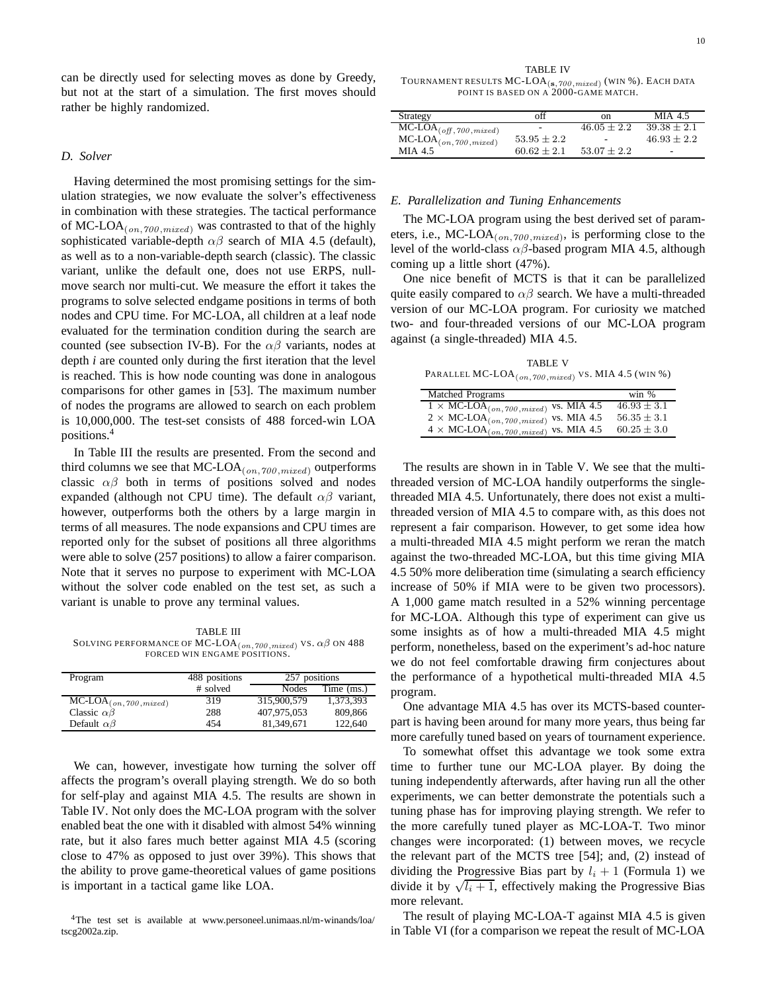can be directly used for selecting moves as done by Greedy, but not at the start of a simulation. The first moves should rather be highly randomized.

## *D. Solver*

Having determined the most promising settings for the simulation strategies, we now evaluate the solver's effectiveness in combination with these strategies. The tactical performance of MC-LOA( $_{on,700,mixed}$ ) was contrasted to that of the highly sophisticated variable-depth  $\alpha\beta$  search of MIA 4.5 (default), as well as to a non-variable-depth search (classic). The classic variant, unlike the default one, does not use ERPS, nullmove search nor multi-cut. We measure the effort it takes the programs to solve selected endgame positions in terms of both nodes and CPU time. For MC-LOA, all children at a leaf node evaluated for the termination condition during the search are counted (see subsection IV-B). For the  $\alpha\beta$  variants, nodes at depth *i* are counted only during the first iteration that the level is reached. This is how node counting was done in analogous comparisons for other games in [53]. The maximum number of nodes the programs are allowed to search on each problem is 10,000,000. The test-set consists of 488 forced-win LOA positions.<sup>4</sup>

In Table III the results are presented. From the second and third columns we see that MC-LOA $_{(on,700,mixed)}$  outperforms classic  $\alpha\beta$  both in terms of positions solved and nodes expanded (although not CPU time). The default  $\alpha\beta$  variant, however, outperforms both the others by a large margin in terms of all measures. The node expansions and CPU times are reported only for the subset of positions all three algorithms were able to solve (257 positions) to allow a fairer comparison. Note that it serves no purpose to experiment with MC-LOA without the solver code enabled on the test set, as such a variant is unable to prove any terminal values.

TABLE III SOLVING PERFORMANCE OF MC-LOA<sub>(on,700,mixed)</sub> VS.  $\alpha\beta$  ON 488 FORCED WIN ENGAME POSITIONS.

| Program                                     | 488 positions | 257 positions |            |  |
|---------------------------------------------|---------------|---------------|------------|--|
|                                             | # solved      | Nodes         | Time (ms.) |  |
| $\overline{\text{MC-LOA}}_{(on,700,mixed)}$ | 319           | 315,900,579   | 1.373.393  |  |
| Classic $\alpha\beta$                       | 288           | 407.975.053   | 809.866    |  |
| Default $\alpha\beta$                       | 454           | 81.349.671    | 122,640    |  |

We can, however, investigate how turning the solver off affects the program's overall playing strength. We do so both for self-play and against MIA 4.5. The results are shown in Table IV. Not only does the MC-LOA program with the solver enabled beat the one with it disabled with almost 54% winning rate, but it also fares much better against MIA 4.5 (scoring close to 47% as opposed to just over 39%). This shows that the ability to prove game-theoretical values of game positions is important in a tactical game like LOA.

<sup>4</sup>The test set is available at www.personeel.unimaas.nl/m-winands/loa/ tscg2002a.zip.

TABLE IV TOURNAMENT RESULTS MC-LOA<sub>(s,700,mixed)</sub> (WIN %). EACH DATA POINT IS BASED ON A 2000-GAME MATCH.

| Strategy                                                             | off             | <sub>on</sub> | $MIA$ 4.5       |
|----------------------------------------------------------------------|-----------------|---------------|-----------------|
| $\overline{\text{MC-LOA}}$ (off, 700, mixed)                         | ۰.              | $46.05 + 2.2$ | $39.38 \pm 2.1$ |
| $\mathrm{MC\text{-}LOA}_{(\textit{on},\textit{700},\textit{mixed})}$ | $53.95 + 2.2$   |               | $46.93 + 2.2$   |
| $MIA$ 4.5                                                            | $60.62 \pm 2.1$ | $53.07 + 2.2$ |                 |

#### *E. Parallelization and Tuning Enhancements*

The MC-LOA program using the best derived set of parameters, i.e., MC-LOA $_{(on,700,mixed)}$ , is performing close to the level of the world-class  $\alpha\beta$ -based program MIA 4.5, although coming up a little short (47%).

One nice benefit of MCTS is that it can be parallelized quite easily compared to  $\alpha\beta$  search. We have a multi-threaded version of our MC-LOA program. For curiosity we matched two- and four-threaded versions of our MC-LOA program against (a single-threaded) MIA 4.5.

TABLE V PARALLEL MC-LOA $_{(on,\,700,\,mixed)}$  vs. MIA 4.5 (WIN  $\%$  )

| <b>Matched Programs</b>                               | win $%$         |
|-------------------------------------------------------|-----------------|
| $1 \times \text{MC-LOA}_{(on,700,mixed)}$ vs. MIA 4.5 | $46.93 \pm 3.1$ |
| 2 × MC-LOA <sub>(on, 700, mixed)</sub> vs. MIA 4.5    | $56.35 \pm 3.1$ |
| $4 \times \text{MC-LOA}_{(on,700,mixed)}$ vs. MIA 4.5 | $60.25 \pm 3.0$ |

The results are shown in in Table V. We see that the multithreaded version of MC-LOA handily outperforms the singlethreaded MIA 4.5. Unfortunately, there does not exist a multithreaded version of MIA 4.5 to compare with, as this does not represent a fair comparison. However, to get some idea how a multi-threaded MIA 4.5 might perform we reran the match against the two-threaded MC-LOA, but this time giving MIA 4.5 50% more deliberation time (simulating a search efficiency increase of 50% if MIA were to be given two processors). A 1,000 game match resulted in a 52% winning percentage for MC-LOA. Although this type of experiment can give us some insights as of how a multi-threaded MIA 4.5 might perform, nonetheless, based on the experiment's ad-hoc nature we do not feel comfortable drawing firm conjectures about the performance of a hypothetical multi-threaded MIA 4.5 program.

One advantage MIA 4.5 has over its MCTS-based counterpart is having been around for many more years, thus being far more carefully tuned based on years of tournament experience.

To somewhat offset this advantage we took some extra time to further tune our MC-LOA player. By doing the tuning independently afterwards, after having run all the other experiments, we can better demonstrate the potentials such a tuning phase has for improving playing strength. We refer to the more carefully tuned player as MC-LOA-T. Two minor changes were incorporated: (1) between moves, we recycle the relevant part of the MCTS tree [54]; and, (2) instead of dividing the Progressive Bias part by  $l_i + 1$  (Formula 1) we divide it by  $\sqrt{l_i+1}$ , effectively making the Progressive Bias more relevant.

The result of playing MC-LOA-T against MIA 4.5 is given in Table VI (for a comparison we repeat the result of MC-LOA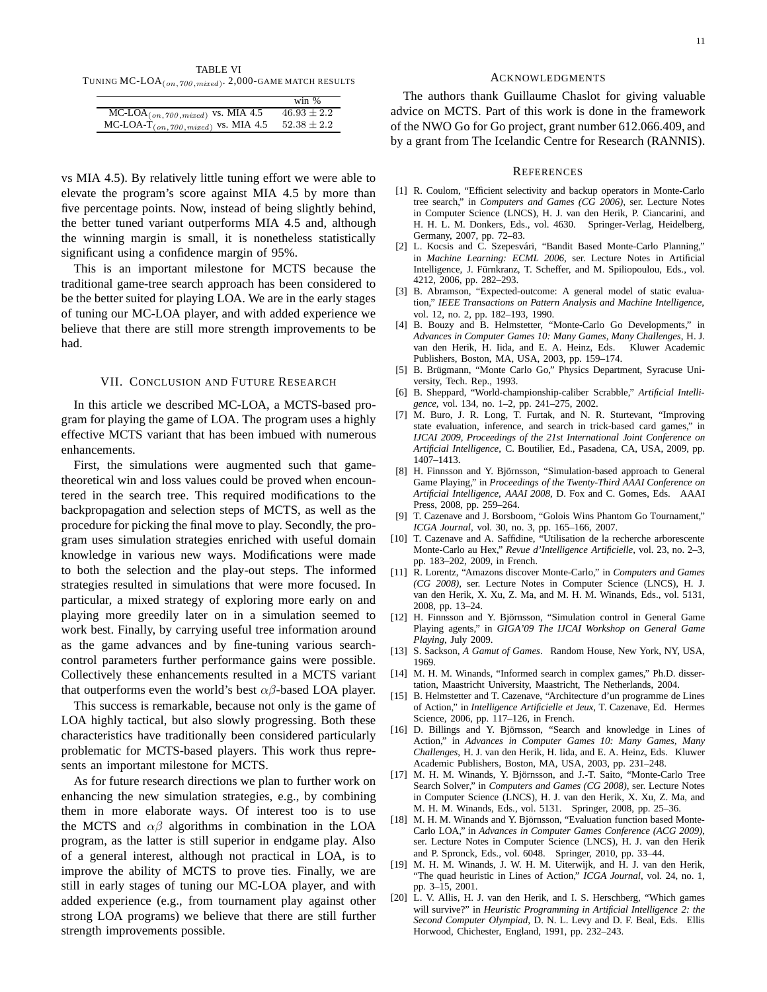TABLE VI TUNING  $\mathrm{MC\text{-}LOA}_{( \emph{on}, \emph{700},\emph{mixed})}.$   $2,\!000\!$ -GAME MATCH RESULTS

|                                                 | win $%$         |
|-------------------------------------------------|-----------------|
| $MC\text{-LOA}_{(on,700,mixed)}$ vs. MIA 4.5    | $46.93 \pm 2.2$ |
| MC-LOA-T <sub>(on,700, mixed)</sub> vs. MIA 4.5 | $52.38 \pm 2.2$ |
|                                                 |                 |

vs MIA 4.5). By relatively little tuning effort we were able to elevate the program's score against MIA 4.5 by more than five percentage points. Now, instead of being slightly behind, the better tuned variant outperforms MIA 4.5 and, although the winning margin is small, it is nonetheless statistically significant using a confidence margin of 95%.

This is an important milestone for MCTS because the traditional game-tree search approach has been considered to be the better suited for playing LOA. We are in the early stages of tuning our MC-LOA player, and with added experience we believe that there are still more strength improvements to be had.

#### VII. CONCLUSION AND FUTURE RESEARCH

In this article we described MC-LOA, a MCTS-based program for playing the game of LOA. The program uses a highly effective MCTS variant that has been imbued with numerous enhancements.

First, the simulations were augmented such that gametheoretical win and loss values could be proved when encountered in the search tree. This required modifications to the backpropagation and selection steps of MCTS, as well as the procedure for picking the final move to play. Secondly, the program uses simulation strategies enriched with useful domain knowledge in various new ways. Modifications were made to both the selection and the play-out steps. The informed strategies resulted in simulations that were more focused. In particular, a mixed strategy of exploring more early on and playing more greedily later on in a simulation seemed to work best. Finally, by carrying useful tree information around as the game advances and by fine-tuning various searchcontrol parameters further performance gains were possible. Collectively these enhancements resulted in a MCTS variant that outperforms even the world's best  $\alpha\beta$ -based LOA player.

This success is remarkable, because not only is the game of LOA highly tactical, but also slowly progressing. Both these characteristics have traditionally been considered particularly problematic for MCTS-based players. This work thus represents an important milestone for MCTS.

As for future research directions we plan to further work on enhancing the new simulation strategies, e.g., by combining them in more elaborate ways. Of interest too is to use the MCTS and  $\alpha\beta$  algorithms in combination in the LOA program, as the latter is still superior in endgame play. Also of a general interest, although not practical in LOA, is to improve the ability of MCTS to prove ties. Finally, we are still in early stages of tuning our MC-LOA player, and with added experience (e.g., from tournament play against other strong LOA programs) we believe that there are still further strength improvements possible.

## ACKNOWLEDGMENTS

The authors thank Guillaume Chaslot for giving valuable advice on MCTS. Part of this work is done in the framework of the NWO Go for Go project, grant number 612.066.409, and by a grant from The Icelandic Centre for Research (RANNIS).

#### **REFERENCES**

- [1] R. Coulom, "Efficient selectivity and backup operators in Monte-Carlo tree search," in *Computers and Games (CG 2006)*, ser. Lecture Notes in Computer Science (LNCS), H. J. van den Herik, P. Ciancarini, and H. H. L. M. Donkers, Eds., vol. 4630. Springer-Verlag, Heidelberg, Germany, 2007, pp. 72–83.
- [2] L. Kocsis and C. Szepesvári, "Bandit Based Monte-Carlo Planning," in *Machine Learning: ECML 2006*, ser. Lecture Notes in Artificial Intelligence, J. Fürnkranz, T. Scheffer, and M. Spiliopoulou, Eds., vol. 4212, 2006, pp. 282–293.
- [3] B. Abramson, "Expected-outcome: A general model of static evaluation," *IEEE Transactions on Pattern Analysis and Machine Intelligence*, vol. 12, no. 2, pp. 182–193, 1990.
- [4] B. Bouzy and B. Helmstetter, "Monte-Carlo Go Developments," in *Advances in Computer Games 10: Many Games, Many Challenges*, H. J. van den Herik, H. Iida, and E. A. Heinz, Eds. Kluwer Academic Publishers, Boston, MA, USA, 2003, pp. 159–174.
- [5] B. Brügmann, "Monte Carlo Go," Physics Department, Syracuse University, Tech. Rep., 1993.
- [6] B. Sheppard, "World-championship-caliber Scrabble," *Artificial Intelligence*, vol. 134, no. 1–2, pp. 241–275, 2002.
- [7] M. Buro, J. R. Long, T. Furtak, and N. R. Sturtevant, "Improving state evaluation, inference, and search in trick-based card games," in *IJCAI 2009, Proceedings of the 21st International Joint Conference on Artificial Intelligence*, C. Boutilier, Ed., Pasadena, CA, USA, 2009, pp. 1407–1413.
- [8] H. Finnsson and Y. Björnsson, "Simulation-based approach to General Game Playing," in *Proceedings of the Twenty-Third AAAI Conference on Artificial Intelligence, AAAI 2008*, D. Fox and C. Gomes, Eds. AAAI Press, 2008, pp. 259–264.
- [9] T. Cazenave and J. Borsboom, "Golois Wins Phantom Go Tournament," *ICGA Journal*, vol. 30, no. 3, pp. 165–166, 2007.
- [10] T. Cazenave and A. Saffidine, "Utilisation de la recherche arborescente Monte-Carlo au Hex," *Revue d'Intelligence Artificielle*, vol. 23, no. 2–3, pp. 183–202, 2009, in French.
- [11] R. Lorentz, "Amazons discover Monte-Carlo," in *Computers and Games (CG 2008)*, ser. Lecture Notes in Computer Science (LNCS), H. J. van den Herik, X. Xu, Z. Ma, and M. H. M. Winands, Eds., vol. 5131, 2008, pp. 13–24.
- [12] H. Finnsson and Y. Björnsson, "Simulation control in General Game Playing agents," in *GIGA'09 The IJCAI Workshop on General Game Playing*, July 2009.
- [13] S. Sackson, *A Gamut of Games*. Random House, New York, NY, USA, 1969.
- [14] M. H. M. Winands, "Informed search in complex games," Ph.D. dissertation, Maastricht University, Maastricht, The Netherlands, 2004.
- [15] B. Helmstetter and T. Cazenave, "Architecture d'un programme de Lines of Action," in *Intelligence Artificielle et Jeux*, T. Cazenave, Ed. Hermes Science, 2006, pp. 117–126, in French.
- [16] D. Billings and Y. Björnsson, "Search and knowledge in Lines of Action," in *Advances in Computer Games 10: Many Games, Many Challenges*, H. J. van den Herik, H. Iida, and E. A. Heinz, Eds. Kluwer Academic Publishers, Boston, MA, USA, 2003, pp. 231–248.
- [17] M. H. M. Winands, Y. Björnsson, and J.-T. Saito, "Monte-Carlo Tree Search Solver," in *Computers and Games (CG 2008)*, ser. Lecture Notes in Computer Science (LNCS), H. J. van den Herik, X. Xu, Z. Ma, and M. H. M. Winands, Eds., vol. 5131. Springer, 2008, pp. 25–36.
- [18] M. H. M. Winands and Y. Björnsson, "Evaluation function based Monte-Carlo LOA," in *Advances in Computer Games Conference (ACG 2009)*, ser. Lecture Notes in Computer Science (LNCS), H. J. van den Herik and P. Spronck, Eds., vol. 6048. Springer, 2010, pp. 33–44.
- [19] M. H. M. Winands, J. W. H. M. Uiterwijk, and H. J. van den Herik, "The quad heuristic in Lines of Action," *ICGA Journal*, vol. 24, no. 1, pp. 3–15, 2001.
- [20] L. V. Allis, H. J. van den Herik, and I. S. Herschberg, "Which games will survive?" in *Heuristic Programming in Artificial Intelligence 2: the Second Computer Olympiad*, D. N. L. Levy and D. F. Beal, Eds. Ellis Horwood, Chichester, England, 1991, pp. 232–243.